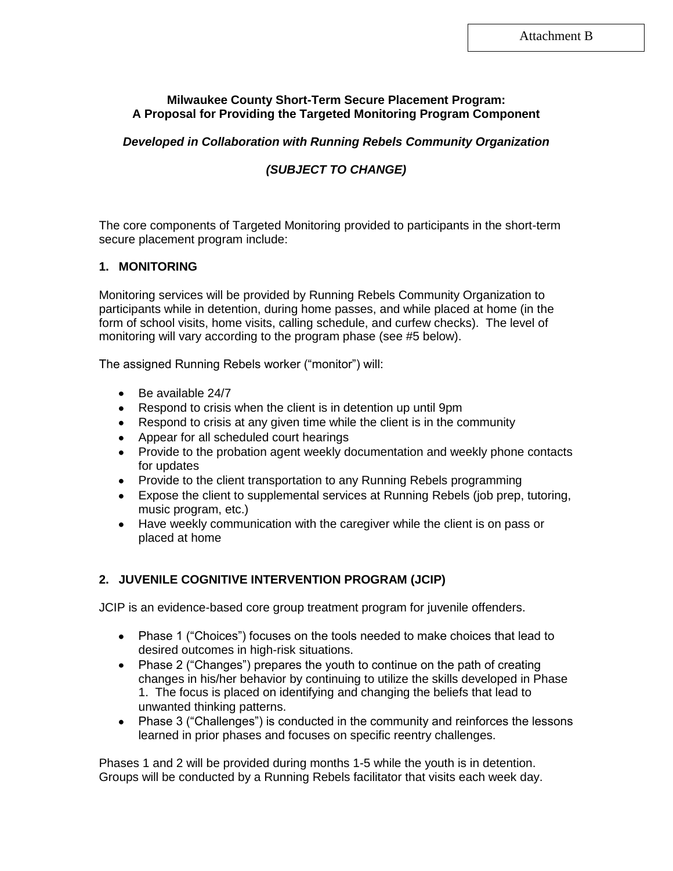### **Milwaukee County Short-Term Secure Placement Program: A Proposal for Providing the Targeted Monitoring Program Component**

### *Developed in Collaboration with Running Rebels Community Organization*

## *(SUBJECT TO CHANGE)*

The core components of Targeted Monitoring provided to participants in the short-term secure placement program include:

#### **1. MONITORING**

Monitoring services will be provided by Running Rebels Community Organization to participants while in detention, during home passes, and while placed at home (in the form of school visits, home visits, calling schedule, and curfew checks). The level of monitoring will vary according to the program phase (see #5 below).

The assigned Running Rebels worker ("monitor") will:

- Be available 24/7
- Respond to crisis when the client is in detention up until 9pm
- Respond to crisis at any given time while the client is in the community
- Appear for all scheduled court hearings
- Provide to the probation agent weekly documentation and weekly phone contacts for updates
- Provide to the client transportation to any Running Rebels programming
- Expose the client to supplemental services at Running Rebels (job prep, tutoring, music program, etc.)
- Have weekly communication with the caregiver while the client is on pass or placed at home

### **2. JUVENILE COGNITIVE INTERVENTION PROGRAM (JCIP)**

JCIP is an evidence-based core group treatment program for juvenile offenders.

- Phase 1 ("Choices") focuses on the tools needed to make choices that lead to desired outcomes in high-risk situations.
- Phase 2 ("Changes") prepares the youth to continue on the path of creating changes in his/her behavior by continuing to utilize the skills developed in Phase 1. The focus is placed on identifying and changing the beliefs that lead to unwanted thinking patterns.
- Phase 3 ("Challenges") is conducted in the community and reinforces the lessons learned in prior phases and focuses on specific reentry challenges.

Phases 1 and 2 will be provided during months 1-5 while the youth is in detention. Groups will be conducted by a Running Rebels facilitator that visits each week day.